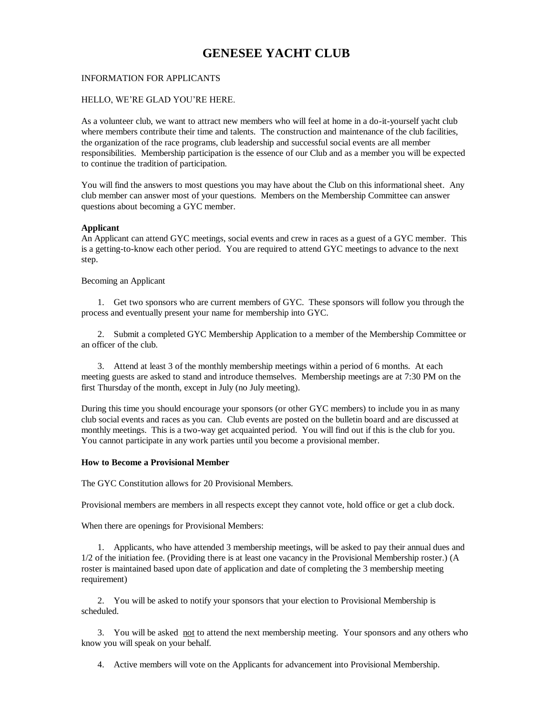# **GENESEE YACHT CLUB**

#### INFORMATION FOR APPLICANTS

#### HELLO, WE'RE GLAD YOU'RE HERE.

As a volunteer club, we want to attract new members who will feel at home in a do-it-yourself yacht club where members contribute their time and talents. The construction and maintenance of the club facilities, the organization of the race programs, club leadership and successful social events are all member responsibilities. Membership participation is the essence of our Club and as a member you will be expected to continue the tradition of participation.

You will find the answers to most questions you may have about the Club on this informational sheet. Any club member can answer most of your questions. Members on the Membership Committee can answer questions about becoming a GYC member.

#### **Applicant**

An Applicant can attend GYC meetings, social events and crew in races as a guest of a GYC member. This is a getting-to-know each other period. You are required to attend GYC meetings to advance to the next step.

Becoming an Applicant

1. Get two sponsors who are current members of GYC. These sponsors will follow you through the process and eventually present your name for membership into GYC.

2. Submit a completed GYC Membership Application to a member of the Membership Committee or an officer of the club.

3. Attend at least 3 of the monthly membership meetings within a period of 6 months. At each meeting guests are asked to stand and introduce themselves. Membership meetings are at 7:30 PM on the first Thursday of the month, except in July (no July meeting).

During this time you should encourage your sponsors (or other GYC members) to include you in as many club social events and races as you can. Club events are posted on the bulletin board and are discussed at monthly meetings. This is a two-way get acquainted period. You will find out if this is the club for you. You cannot participate in any work parties until you become a provisional member.

#### **How to Become a Provisional Member**

The GYC Constitution allows for 20 Provisional Members.

Provisional members are members in all respects except they cannot vote, hold office or get a club dock.

When there are openings for Provisional Members:

1. Applicants, who have attended 3 membership meetings, will be asked to pay their annual dues and 1/2 of the initiation fee. (Providing there is at least one vacancy in the Provisional Membership roster.) (A roster is maintained based upon date of application and date of completing the 3 membership meeting requirement)

2. You will be asked to notify your sponsors that your election to Provisional Membership is scheduled.

3. You will be asked not to attend the next membership meeting. Your sponsors and any others who know you will speak on your behalf.

4. Active members will vote on the Applicants for advancement into Provisional Membership.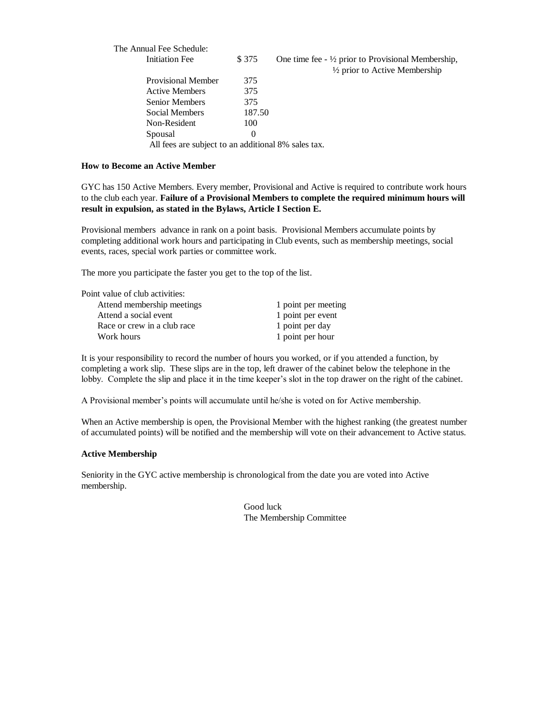| The Annual Fee Schedule:                            |          |                                                                                                   |
|-----------------------------------------------------|----------|---------------------------------------------------------------------------------------------------|
| <b>Initiation Fee</b>                               | \$375    | One time fee $-$ 1/2 prior to Provisional Membership,<br>$\frac{1}{2}$ prior to Active Membership |
| <b>Provisional Member</b>                           | 375      |                                                                                                   |
| <b>Active Members</b>                               | 375      |                                                                                                   |
| Senior Members                                      | 375      |                                                                                                   |
| Social Members                                      | 187.50   |                                                                                                   |
| Non-Resident                                        | 100      |                                                                                                   |
| Spousal                                             | $\theta$ |                                                                                                   |
| All fees are subject to an additional 8% sales tax. |          |                                                                                                   |

#### **How to Become an Active Member**

GYC has 150 Active Members. Every member, Provisional and Active is required to contribute work hours to the club each year. **Failure of a Provisional Members to complete the required minimum hours will result in expulsion, as stated in the Bylaws, Article I Section E.** 

Provisional members advance in rank on a point basis. Provisional Members accumulate points by completing additional work hours and participating in Club events, such as membership meetings, social events, races, special work parties or committee work.

The more you participate the faster you get to the top of the list.

| Point value of club activities: |                     |
|---------------------------------|---------------------|
| Attend membership meetings      | 1 point per meeting |
| Attend a social event           | 1 point per event   |
| Race or crew in a club race     | 1 point per day     |
| Work hours                      | 1 point per hour    |

It is your responsibility to record the number of hours you worked, or if you attended a function, by completing a work slip. These slips are in the top, left drawer of the cabinet below the telephone in the lobby. Complete the slip and place it in the time keeper's slot in the top drawer on the right of the cabinet.

A Provisional member's points will accumulate until he/she is voted on for Active membership.

When an Active membership is open, the Provisional Member with the highest ranking (the greatest number of accumulated points) will be notified and the membership will vote on their advancement to Active status.

#### **Active Membership**

Seniority in the GYC active membership is chronological from the date you are voted into Active membership.

> Good luck The Membership Committee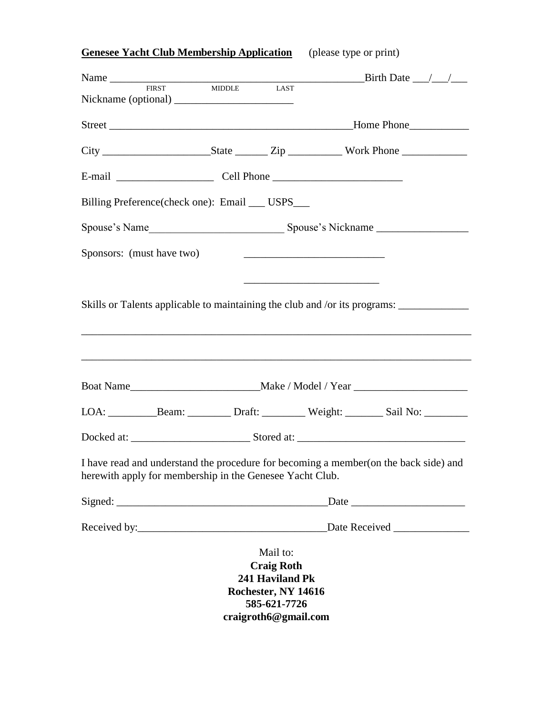**Genesee Yacht Club Membership Application** (please type or print)

| Name $\frac{1}{\sqrt{1-\frac{1}{2}}\sqrt{1-\frac{1}{2}}\sqrt{1-\frac{1}{2}}\sqrt{1-\frac{1}{2}}\sqrt{1-\frac{1}{2}}\sqrt{1-\frac{1}{2}}\sqrt{1-\frac{1}{2}}\sqrt{1-\frac{1}{2}}\sqrt{1-\frac{1}{2}}\sqrt{1-\frac{1}{2}}\sqrt{1-\frac{1}{2}}\sqrt{1-\frac{1}{2}}\sqrt{1-\frac{1}{2}}\sqrt{1-\frac{1}{2}}\sqrt{1-\frac{1}{2}}\sqrt{1-\frac{1}{2}}\sqrt{1-\frac{1}{2}}\sqrt{1-\frac{1}{2}}\sqrt{1-\frac{1}{2}}\$ |               |                                                                                                                 |                                                                                                                      | Birth Date $\_\_\_\_\_\_\_\_\_\_\_\$                                             |  |
|---------------------------------------------------------------------------------------------------------------------------------------------------------------------------------------------------------------------------------------------------------------------------------------------------------------------------------------------------------------------------------------------------------------|---------------|-----------------------------------------------------------------------------------------------------------------|----------------------------------------------------------------------------------------------------------------------|----------------------------------------------------------------------------------|--|
| <b>FIRST</b>                                                                                                                                                                                                                                                                                                                                                                                                  | <b>MIDDLE</b> | LAST                                                                                                            |                                                                                                                      |                                                                                  |  |
|                                                                                                                                                                                                                                                                                                                                                                                                               |               |                                                                                                                 |                                                                                                                      |                                                                                  |  |
|                                                                                                                                                                                                                                                                                                                                                                                                               |               |                                                                                                                 |                                                                                                                      |                                                                                  |  |
|                                                                                                                                                                                                                                                                                                                                                                                                               |               |                                                                                                                 |                                                                                                                      |                                                                                  |  |
| Billing Preference(check one): Email ___ USPS___                                                                                                                                                                                                                                                                                                                                                              |               |                                                                                                                 |                                                                                                                      |                                                                                  |  |
|                                                                                                                                                                                                                                                                                                                                                                                                               |               |                                                                                                                 |                                                                                                                      |                                                                                  |  |
| Sponsors: (must have two)                                                                                                                                                                                                                                                                                                                                                                                     |               |                                                                                                                 |                                                                                                                      |                                                                                  |  |
|                                                                                                                                                                                                                                                                                                                                                                                                               |               |                                                                                                                 | <u> 1980 - Johann Barbara, martin da basar a shekara 1980 - An tsa a tsarar a shekara 1980 - An tsa a tsarar a t</u> |                                                                                  |  |
| Skills or Talents applicable to maintaining the club and /or its programs: _____________                                                                                                                                                                                                                                                                                                                      |               |                                                                                                                 |                                                                                                                      |                                                                                  |  |
|                                                                                                                                                                                                                                                                                                                                                                                                               |               |                                                                                                                 |                                                                                                                      |                                                                                  |  |
|                                                                                                                                                                                                                                                                                                                                                                                                               |               |                                                                                                                 |                                                                                                                      | ,我们也不会有什么。""我们的人,我们也不会有什么?""我们的人,我们也不会有什么?""我们的人,我们也不会有什么?""我们的人,我们也不会有什么?""我们的人 |  |
|                                                                                                                                                                                                                                                                                                                                                                                                               |               |                                                                                                                 |                                                                                                                      |                                                                                  |  |
|                                                                                                                                                                                                                                                                                                                                                                                                               |               |                                                                                                                 |                                                                                                                      |                                                                                  |  |
|                                                                                                                                                                                                                                                                                                                                                                                                               |               |                                                                                                                 |                                                                                                                      |                                                                                  |  |
| I have read and understand the procedure for becoming a member (on the back side) and<br>herewith apply for membership in the Genesee Yacht Club.                                                                                                                                                                                                                                                             |               |                                                                                                                 |                                                                                                                      |                                                                                  |  |
|                                                                                                                                                                                                                                                                                                                                                                                                               |               |                                                                                                                 |                                                                                                                      | $\Box$ Date $\Box$                                                               |  |
|                                                                                                                                                                                                                                                                                                                                                                                                               |               |                                                                                                                 |                                                                                                                      |                                                                                  |  |
|                                                                                                                                                                                                                                                                                                                                                                                                               |               | Mail to:<br><b>Craig Roth</b><br>241 Haviland Pk<br>Rochester, NY 14616<br>585-621-7726<br>craigroth6@gmail.com |                                                                                                                      |                                                                                  |  |